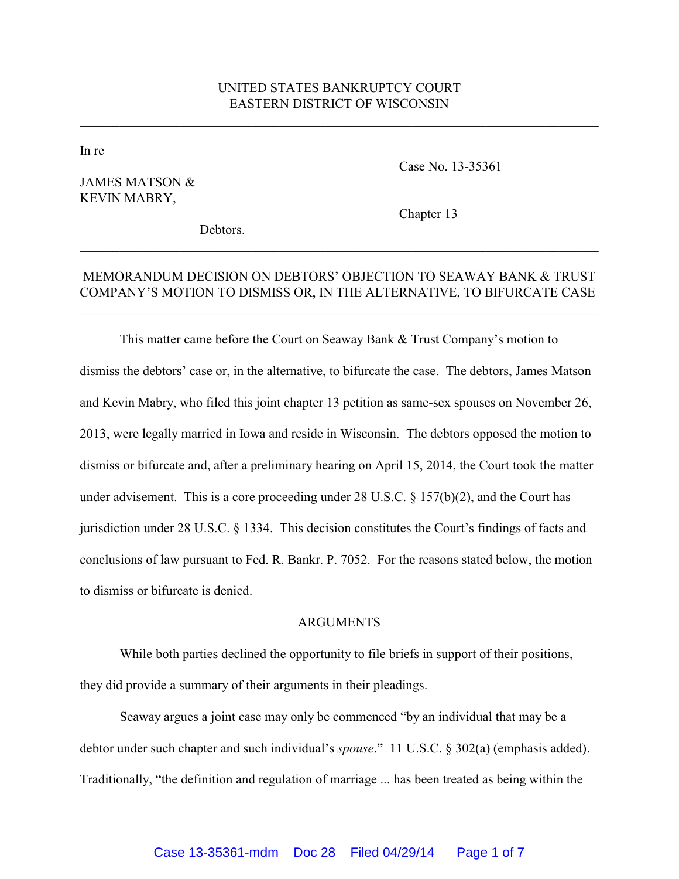# UNITED STATES BANKRUPTCY COURT EASTERN DISTRICT OF WISCONSIN

\_\_\_\_\_\_\_\_\_\_\_\_\_\_\_\_\_\_\_\_\_\_\_\_\_\_\_\_\_\_\_\_\_\_\_\_\_\_\_\_\_\_\_\_\_\_\_\_\_\_\_\_\_\_\_\_\_\_\_\_\_\_\_\_\_\_\_\_\_\_\_\_\_\_\_\_\_\_

In re

## JAMES MATSON & KEVIN MABRY,

Case No. 13-35361

Debtors.

Chapter 13

## MEMORANDUM DECISION ON DEBTORS' OBJECTION TO SEAWAY BANK & TRUST COMPANY'S MOTION TO DISMISS OR, IN THE ALTERNATIVE, TO BIFURCATE CASE

\_\_\_\_\_\_\_\_\_\_\_\_\_\_\_\_\_\_\_\_\_\_\_\_\_\_\_\_\_\_\_\_\_\_\_\_\_\_\_\_\_\_\_\_\_\_\_\_\_\_\_\_\_\_\_\_\_\_\_\_\_\_\_\_\_\_\_\_\_\_\_\_\_\_\_\_\_\_

\_\_\_\_\_\_\_\_\_\_\_\_\_\_\_\_\_\_\_\_\_\_\_\_\_\_\_\_\_\_\_\_\_\_\_\_\_\_\_\_\_\_\_\_\_\_\_\_\_\_\_\_\_\_\_\_\_\_\_\_\_\_\_\_\_\_\_\_\_\_\_\_\_\_\_\_\_\_

This matter came before the Court on Seaway Bank & Trust Company's motion to dismiss the debtors' case or, in the alternative, to bifurcate the case. The debtors, James Matson and Kevin Mabry, who filed this joint chapter 13 petition as same-sex spouses on November 26, 2013, were legally married in Iowa and reside in Wisconsin. The debtors opposed the motion to dismiss or bifurcate and, after a preliminary hearing on April 15, 2014, the Court took the matter under advisement. This is a core proceeding under 28 U.S.C. § 157(b)(2), and the Court has jurisdiction under 28 U.S.C. § 1334. This decision constitutes the Court's findings of facts and conclusions of law pursuant to Fed. R. Bankr. P. 7052. For the reasons stated below, the motion to dismiss or bifurcate is denied.

#### ARGUMENTS

While both parties declined the opportunity to file briefs in support of their positions, they did provide a summary of their arguments in their pleadings.

Seaway argues a joint case may only be commenced "by an individual that may be a debtor under such chapter and such individual's *spouse*." 11 U.S.C. § 302(a) (emphasis added). Traditionally, "the definition and regulation of marriage ... has been treated as being within the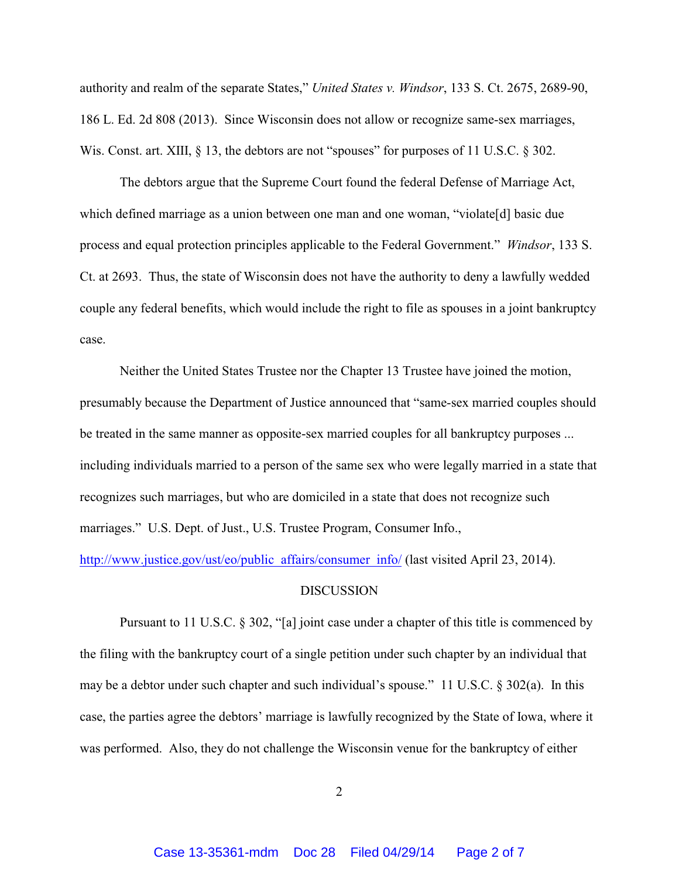authority and realm of the separate States," *United States v. Windsor*, 133 S. Ct. 2675, 2689-90, 186 L. Ed. 2d 808 (2013). Since Wisconsin does not allow or recognize same-sex marriages, Wis. Const. art. XIII, § 13, the debtors are not "spouses" for purposes of 11 U.S.C. § 302.

The debtors argue that the Supreme Court found the federal Defense of Marriage Act, which defined marriage as a union between one man and one woman, "violate[d] basic due process and equal protection principles applicable to the Federal Government." *Windsor*, 133 S. Ct. at 2693. Thus, the state of Wisconsin does not have the authority to deny a lawfully wedded couple any federal benefits, which would include the right to file as spouses in a joint bankruptcy case.

Neither the United States Trustee nor the Chapter 13 Trustee have joined the motion, presumably because the Department of Justice announced that "same-sex married couples should be treated in the same manner as opposite-sex married couples for all bankruptcy purposes ... including individuals married to a person of the same sex who were legally married in a state that recognizes such marriages, but who are domiciled in a state that does not recognize such marriages." U.S. Dept. of Just., U.S. Trustee Program, Consumer Info.,

http://www.justice.gov/ust/eo/public\_affairs/consumer\_info/ (last visited April 23, 2014).

#### DISCUSSION

Pursuant to 11 U.S.C. § 302, "[a] joint case under a chapter of this title is commenced by the filing with the bankruptcy court of a single petition under such chapter by an individual that may be a debtor under such chapter and such individual's spouse." 11 U.S.C. § 302(a). In this case, the parties agree the debtors' marriage is lawfully recognized by the State of Iowa, where it was performed. Also, they do not challenge the Wisconsin venue for the bankruptcy of either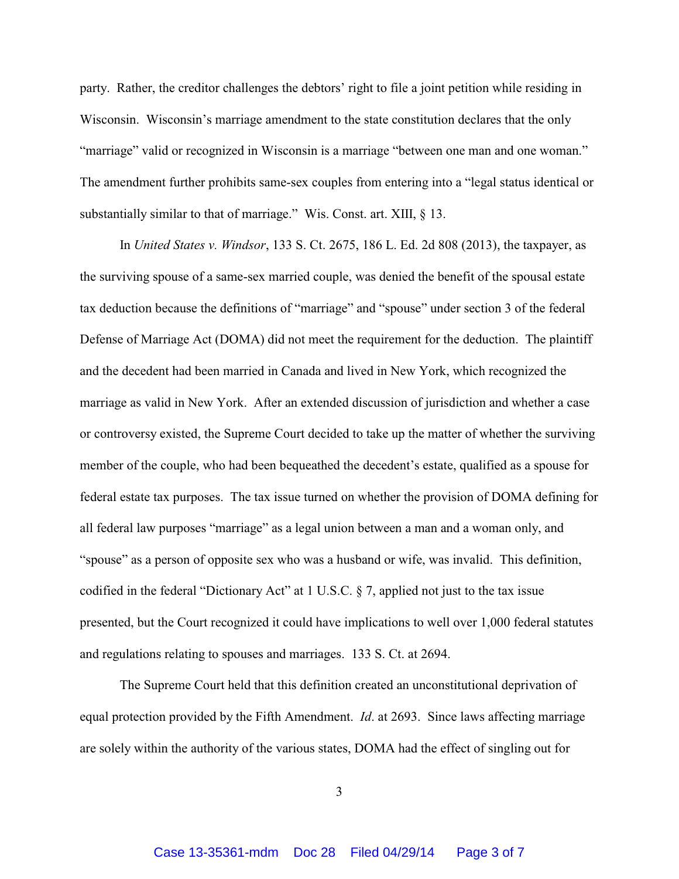party. Rather, the creditor challenges the debtors' right to file a joint petition while residing in Wisconsin. Wisconsin's marriage amendment to the state constitution declares that the only "marriage" valid or recognized in Wisconsin is a marriage "between one man and one woman." The amendment further prohibits same-sex couples from entering into a "legal status identical or substantially similar to that of marriage." Wis. Const. art. XIII, § 13.

In *United States v. Windsor*, 133 S. Ct. 2675, 186 L. Ed. 2d 808 (2013), the taxpayer, as the surviving spouse of a same-sex married couple, was denied the benefit of the spousal estate tax deduction because the definitions of "marriage" and "spouse" under section 3 of the federal Defense of Marriage Act (DOMA) did not meet the requirement for the deduction. The plaintiff and the decedent had been married in Canada and lived in New York, which recognized the marriage as valid in New York. After an extended discussion of jurisdiction and whether a case or controversy existed, the Supreme Court decided to take up the matter of whether the surviving member of the couple, who had been bequeathed the decedent's estate, qualified as a spouse for federal estate tax purposes. The tax issue turned on whether the provision of DOMA defining for all federal law purposes "marriage" as a legal union between a man and a woman only, and "spouse" as a person of opposite sex who was a husband or wife, was invalid. This definition, codified in the federal "Dictionary Act" at 1 U.S.C. § 7, applied not just to the tax issue presented, but the Court recognized it could have implications to well over 1,000 federal statutes and regulations relating to spouses and marriages. 133 S. Ct. at 2694.

The Supreme Court held that this definition created an unconstitutional deprivation of equal protection provided by the Fifth Amendment. *Id*. at 2693. Since laws affecting marriage are solely within the authority of the various states, DOMA had the effect of singling out for

3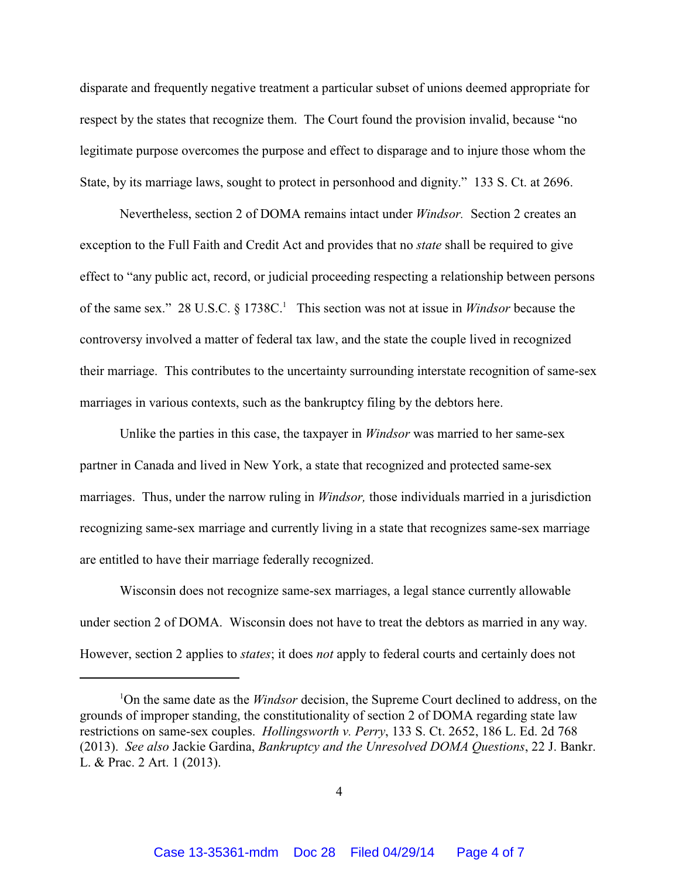disparate and frequently negative treatment a particular subset of unions deemed appropriate for respect by the states that recognize them. The Court found the provision invalid, because "no legitimate purpose overcomes the purpose and effect to disparage and to injure those whom the State, by its marriage laws, sought to protect in personhood and dignity." 133 S. Ct. at 2696.

Nevertheless, section 2 of DOMA remains intact under *Windsor.* Section 2 creates an exception to the Full Faith and Credit Act and provides that no *state* shall be required to give effect to "any public act, record, or judicial proceeding respecting a relationship between persons of the same sex." 28 U.S.C. § 1738C. 1 This section was not at issue in *Windsor* because the controversy involved a matter of federal tax law, and the state the couple lived in recognized their marriage. This contributes to the uncertainty surrounding interstate recognition of same-sex marriages in various contexts, such as the bankruptcy filing by the debtors here.

Unlike the parties in this case, the taxpayer in *Windsor* was married to her same-sex partner in Canada and lived in New York, a state that recognized and protected same-sex marriages. Thus, under the narrow ruling in *Windsor,* those individuals married in a jurisdiction recognizing same-sex marriage and currently living in a state that recognizes same-sex marriage are entitled to have their marriage federally recognized.

Wisconsin does not recognize same-sex marriages, a legal stance currently allowable under section 2 of DOMA. Wisconsin does not have to treat the debtors as married in any way. However, section 2 applies to *states*; it does *not* apply to federal courts and certainly does not

<sup>1</sup>On the same date as the *Windsor* decision, the Supreme Court declined to address, on the grounds of improper standing, the constitutionality of section 2 of DOMA regarding state law restrictions on same-sex couples. *Hollingsworth v. Perry*, 133 S. Ct. 2652, 186 L. Ed. 2d 768 (2013). *See also* Jackie Gardina, *Bankruptcy and the Unresolved DOMA Questions*, 22 J. Bankr. L. & Prac. 2 Art. 1 (2013).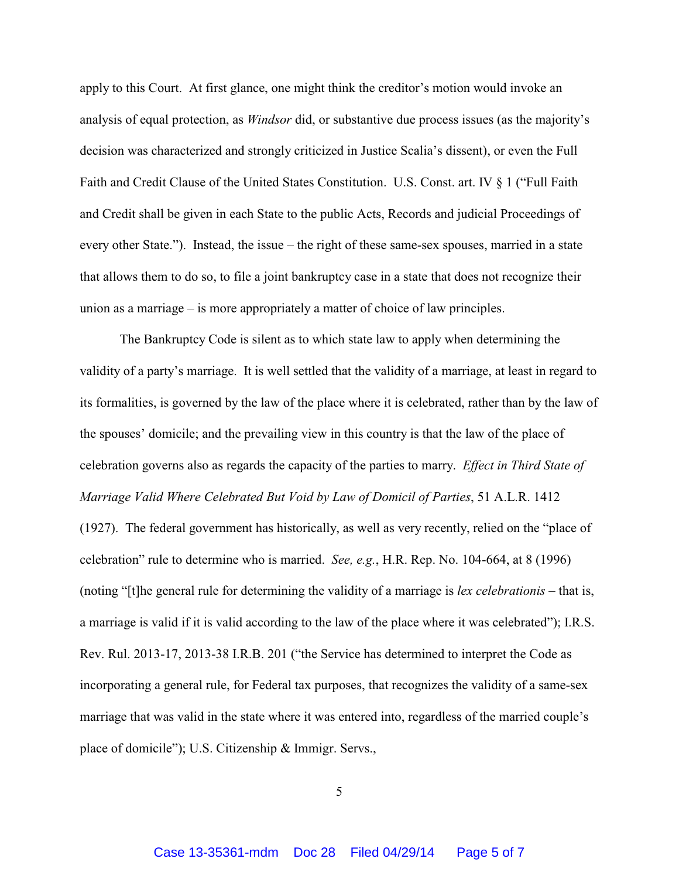apply to this Court. At first glance, one might think the creditor's motion would invoke an analysis of equal protection, as *Windsor* did, or substantive due process issues (as the majority's decision was characterized and strongly criticized in Justice Scalia's dissent), or even the Full Faith and Credit Clause of the United States Constitution. U.S. Const. art. IV § 1 ("Full Faith and Credit shall be given in each State to the public Acts, Records and judicial Proceedings of every other State."). Instead, the issue – the right of these same-sex spouses, married in a state that allows them to do so, to file a joint bankruptcy case in a state that does not recognize their union as a marriage – is more appropriately a matter of choice of law principles.

The Bankruptcy Code is silent as to which state law to apply when determining the validity of a party's marriage. It is well settled that the validity of a marriage, at least in regard to its formalities, is governed by the law of the place where it is celebrated, rather than by the law of the spouses' domicile; and the prevailing view in this country is that the law of the place of celebration governs also as regards the capacity of the parties to marry. *Effect in Third State of Marriage Valid Where Celebrated But Void by Law of Domicil of Parties*, 51 A.L.R. 1412 (1927). The federal government has historically, as well as very recently, relied on the "place of celebration" rule to determine who is married. *See, e.g.*, H.R. Rep. No. 104-664, at 8 (1996) (noting "[t]he general rule for determining the validity of a marriage is *lex celebrationis* – that is, a marriage is valid if it is valid according to the law of the place where it was celebrated"); I.R.S. Rev. Rul. 2013-17, 2013-38 I.R.B. 201 ("the Service has determined to interpret the Code as incorporating a general rule, for Federal tax purposes, that recognizes the validity of a same-sex marriage that was valid in the state where it was entered into, regardless of the married couple's place of domicile"); U.S. Citizenship & Immigr. Servs.,

5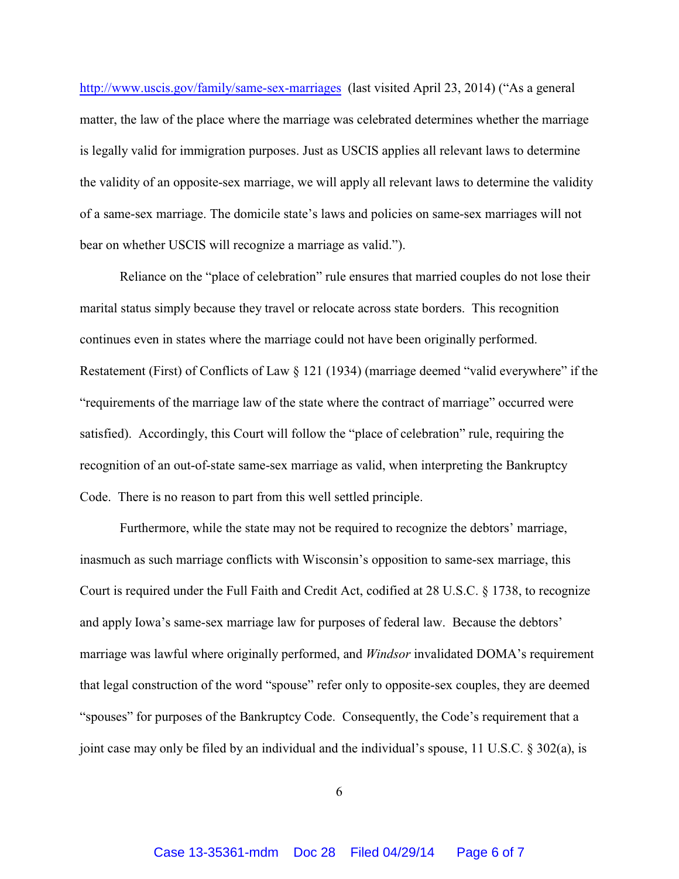http://www.uscis.gov/family/same-sex-marriages (last visited April 23, 2014) ("As a general matter, the law of the place where the marriage was celebrated determines whether the marriage is legally valid for immigration purposes. Just as USCIS applies all relevant laws to determine the validity of an opposite-sex marriage, we will apply all relevant laws to determine the validity of a same-sex marriage. The domicile state's laws and policies on same-sex marriages will not bear on whether USCIS will recognize a marriage as valid.").

Reliance on the "place of celebration" rule ensures that married couples do not lose their marital status simply because they travel or relocate across state borders. This recognition continues even in states where the marriage could not have been originally performed. Restatement (First) of Conflicts of Law § 121 (1934) (marriage deemed "valid everywhere" if the "requirements of the marriage law of the state where the contract of marriage" occurred were satisfied). Accordingly, this Court will follow the "place of celebration" rule, requiring the recognition of an out-of-state same-sex marriage as valid, when interpreting the Bankruptcy Code. There is no reason to part from this well settled principle.

Furthermore, while the state may not be required to recognize the debtors' marriage, inasmuch as such marriage conflicts with Wisconsin's opposition to same-sex marriage, this Court is required under the Full Faith and Credit Act, codified at 28 U.S.C. § 1738, to recognize and apply Iowa's same-sex marriage law for purposes of federal law. Because the debtors' marriage was lawful where originally performed, and *Windsor* invalidated DOMA's requirement that legal construction of the word "spouse" refer only to opposite-sex couples, they are deemed "spouses" for purposes of the Bankruptcy Code. Consequently, the Code's requirement that a joint case may only be filed by an individual and the individual's spouse, 11 U.S.C. § 302(a), is

6